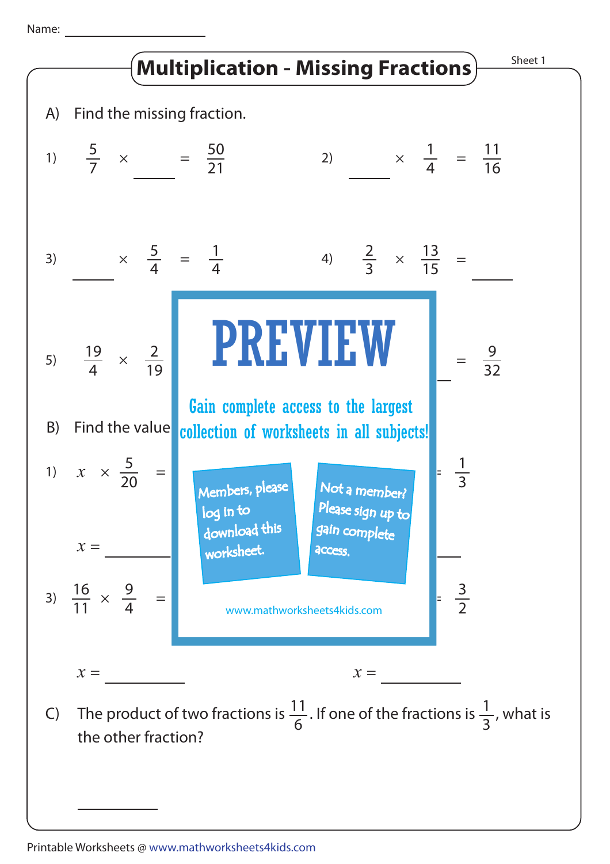Name: